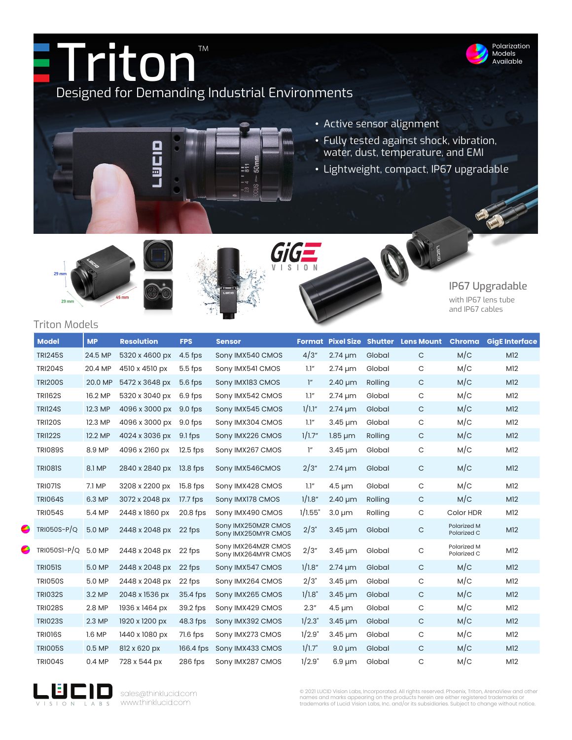







## IP67 Upgradable

Polarization Models Available

with IP67 lens tube and IP67 cables

## Triton Models

| <b>Model</b>   | <b>MP</b> | <b>Resolution</b> | <b>FPS</b> | <b>Sensor</b>                              |                 |              |         | <b>Format Pixel Size Shutter Lens Mount</b> |                            | <b>Chroma</b> GigE Interface |
|----------------|-----------|-------------------|------------|--------------------------------------------|-----------------|--------------|---------|---------------------------------------------|----------------------------|------------------------------|
| <b>TRI245S</b> | 24.5 MP   | 5320 x 4600 px    | $4.5$ fps  | Sony IMX540 CMOS                           | 4/3"            | $2.74 \mu m$ | Global  | $\mathsf C$                                 | M/C                        | M <sub>12</sub>              |
| <b>TRI204S</b> | 20.4 MP   | 4510 x 4510 px    | $5.5$ fps  | Sony IMX541 CMOS                           | 1.1"            | $2.74 \mu m$ | Global  | C                                           | M/C                        | M12                          |
| <b>TRI200S</b> | 20.0 MP   | 5472 x 3648 px    | $5.6$ fps  | Sony IMX183 CMOS                           | $\mathcal{I}''$ | $2.40 \mu m$ | Rolling | $\mathsf C$                                 | M/C                        | M <sub>12</sub>              |
| <b>TRI162S</b> | 16.2 MP   | 5320 x 3040 px    | 6.9 fps    | Sony IMX542 CMOS                           | 1.1"            | $2.74 \mu m$ | Global  | $\mathsf C$                                 | M/C                        | M12                          |
| <b>TRI124S</b> | 12.3 MP   | 4096 x 3000 px    | 9.0 fps    | Sony IMX545 CMOS                           | 1/1.1"          | $2.74 \mu m$ | Global  | $\mathsf C$                                 | M/C                        | M <sub>12</sub>              |
| <b>TRI120S</b> | 12.3 MP   | 4096 x 3000 px    | 9.0 fps    | Sony IMX304 CMOS                           | 1.1"            | $3.45 \mu m$ | Global  | C                                           | M/C                        | M12                          |
| <b>TRI122S</b> | 12.2 MP   | 4024 x 3036 px    | 9.1 fps    | Sony IMX226 CMOS                           | 1/1.7"          | $1.85 \mu m$ | Rolling | $\mathsf{C}$                                | M/C                        | M <sub>12</sub>              |
| <b>TRI089S</b> | 8.9 MP    | 4096 x 2160 px    | 12.5 fps   | Sony IMX267 CMOS                           | $\mathcal{I}''$ | $3.45 \mu m$ | Global  | C                                           | M/C                        | M <sub>12</sub>              |
| <b>TRIO81S</b> | 8.1 MP    | 2840 x 2840 px    | $13.8$ fps | Sony IMX546CMOS                            | 2/3"            | $2.74 \mu m$ | Global  | $\mathsf C$                                 | M/C                        | M <sub>12</sub>              |
| <b>TRI071S</b> | 7.1 MP    | 3208 x 2200 px    | 15.8 fps   | Sony IMX428 CMOS                           | 1.1"            | $4.5 \mu m$  | Global  | $\mathsf{C}$                                | M/C                        | M12                          |
| <b>TRI064S</b> | 6.3 MP    | 3072 x 2048 px    | 17.7 fps   | Sony IMX178 CMOS                           | 1/1.8"          | $2.40 \mu m$ | Rolling | $\mathsf{C}$                                | M/C                        | M <sub>12</sub>              |
| <b>TRI054S</b> | 5.4 MP    | 2448 x 1860 px    | 20.8 fps   | Sony IMX490 CMOS                           | 1/1.55"         | $3.0 \mu m$  | Rolling | C                                           | Color HDR                  | M <sub>12</sub>              |
| $TRIO50S-P/Q$  | 5.0 MP    | 2448 x 2048 px    | 22 fps     | Sony IMX250MZR CMOS<br>Sony IMX250MYR CMOS | 2/3"            | $3.45 \mu m$ | Global  | $\mathsf C$                                 | Polarized M<br>Polarized C | M <sub>12</sub>              |
| $TRIO50SI-P/Q$ | 5.0 MP    | 2448 x 2048 px    | 22 fps     | Sony IMX264MZR CMOS<br>Sony IMX264MYR CMOS | 2/3"            | $3.45 \mu m$ | Global  | $\mathsf C$                                 | Polarized M<br>Polarized C | M <sub>12</sub>              |
| <b>TRI051S</b> | 5.0 MP    | 2448 x 2048 px    | 22 fps     | Sony IMX547 CMOS                           | 1/1.8"          | $2.74 \mu m$ | Global  | $\mathsf C$                                 | M/C                        | M12                          |
| <b>TRI050S</b> | 5.0 MP    | 2448 x 2048 px    | 22 fps     | Sony IMX264 CMOS                           | 2/3"            | $3.45 \mu m$ | Global  | $\mathsf C$                                 | M/C                        | M12                          |
| <b>TRI032S</b> | 3.2 MP    | 2048 x 1536 px    | 35.4 fps   | Sony IMX265 CMOS                           | 1/1.8"          | $3.45 \mu m$ | Global  | $\mathsf C$                                 | M/C                        | M <sub>12</sub>              |
| <b>TRI028S</b> | 2.8 MP    | 1936 x 1464 px    | 39.2 fps   | Sony IMX429 CMOS                           | 2.3''           | $4.5 \mu m$  | Global  | $\mathsf C$                                 | M/C                        | M12                          |
| <b>TRI023S</b> | 2.3 MP    | 1920 x 1200 px    | 48.3 fps   | Sony IMX392 CMOS                           | 1/2.3"          | $3.45 \mu m$ | Global  | $\mathsf{C}$                                | M/C                        | M <sub>12</sub>              |
| <b>TRI016S</b> | 1.6MP     | 1440 x 1080 px    | 71.6 fps   | Sony IMX273 CMOS                           | 1/2.9"          | $3.45 \mu m$ | Global  | $\mathsf C$                                 | M/C                        | M12                          |
| <b>TRIO05S</b> | $0.5$ MP  | 812 x 620 px      | 166.4 fps  | Sony IMX433 CMOS                           | 1/1.7"          | $9.0 \mu m$  | Global  | $\mathsf{C}$                                | M/C                        | M <sub>12</sub>              |
| <b>TRI004S</b> | 0.4 MP    | 728 x 544 px      | 286 fps    | Sony IMX287 CMOS                           | 1/2.9"          | $6.9 \mu m$  | Global  | C                                           | M/C                        | M12                          |



sales@thinklucid.com www.thinklucid.com

© 2021 LUCID Vision Labs, Incorporated. All rights reserved. Phoenix, Triton, ArenaView and other<br>names and marks appearing on the products herein are either registered trademarks or<br>trademarks of Lucid Vision Labs, Inc. a